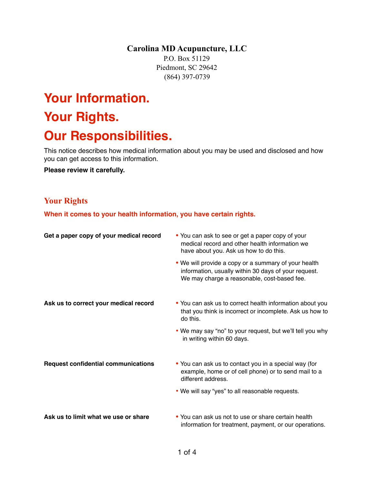**Carolina MD Acupuncture, LLC** 

P.O. Box 51129 Piedmont, SC 29642 (864) 397-0739

# **Your Information. Your Rights. Our Responsibilities.**

This notice describes how medical information about you may be used and disclosed and how you can get access to this information.

**Please review it carefully.** 

### **Your Rights**

When it comes to your health information, you have certain rights.

| Get a paper copy of your medical record    | • You can ask to see or get a paper copy of your<br>medical record and other health information we<br>have about you. Ask us how to do this.                |  |
|--------------------------------------------|-------------------------------------------------------------------------------------------------------------------------------------------------------------|--|
|                                            | • We will provide a copy or a summary of your health<br>information, usually within 30 days of your request.<br>We may charge a reasonable, cost-based fee. |  |
| Ask us to correct your medical record      | • You can ask us to correct health information about you<br>that you think is incorrect or incomplete. Ask us how to<br>do this.                            |  |
|                                            | • We may say "no" to your request, but we'll tell you why<br>in writing within 60 days.                                                                     |  |
| <b>Request confidential communications</b> | • You can ask us to contact you in a special way (for<br>example, home or of cell phone) or to send mail to a<br>different address.                         |  |
|                                            | . We will say "yes" to all reasonable requests.                                                                                                             |  |
| Ask us to limit what we use or share       | • You can ask us not to use or share certain health<br>information for treatment, payment, or our operations.                                               |  |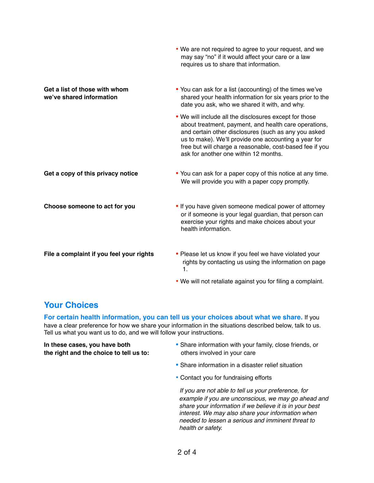|                                                           | . We are not required to agree to your request, and we<br>may say "no" if it would affect your care or a law<br>requires us to share that information.                                                                                                                                                                               |
|-----------------------------------------------------------|--------------------------------------------------------------------------------------------------------------------------------------------------------------------------------------------------------------------------------------------------------------------------------------------------------------------------------------|
| Get a list of those with whom<br>we've shared information | • You can ask for a list (accounting) of the times we've<br>shared your health information for six years prior to the<br>date you ask, who we shared it with, and why.                                                                                                                                                               |
|                                                           | . We will include all the disclosures except for those<br>about treatment, payment, and health care operations,<br>and certain other disclosures (such as any you asked<br>us to make). We'll provide one accounting a year for<br>free but will charge a reasonable, cost-based fee if you<br>ask for another one within 12 months. |
| Get a copy of this privacy notice                         | • You can ask for a paper copy of this notice at any time.<br>We will provide you with a paper copy promptly.                                                                                                                                                                                                                        |
| Choose someone to act for you                             | . If you have given someone medical power of attorney<br>or if someone is your legal guardian, that person can<br>exercise your rights and make choices about your<br>health information.                                                                                                                                            |
| File a complaint if you feel your rights                  | • Please let us know if you feel we have violated your<br>rights by contacting us using the information on page<br>$\mathbf{1}$ .                                                                                                                                                                                                    |
|                                                           | . We will not retaliate against you for filing a complaint.                                                                                                                                                                                                                                                                          |

# **Your Choices**

**For certain health information, you can tell us your choices about what we share.** If you have a clear preference for how we share your information in the situations described below, talk to us. Tell us what you want us to do, and we will follow your instructions.

**the right and the choice to tell us to:** others involved in your care

- **In these cases, you have both <b>•** Share information with your family, close friends, or
	- Share information in a disaster relief situation
	- Contact you for fundraising efforts

 *If you are not able to tell us your preference, for example if you are unconscious, we may go ahead and share your information if we believe it is in your best interest. We may also share your information when needed to lessen a serious and imminent threat to health or safety.*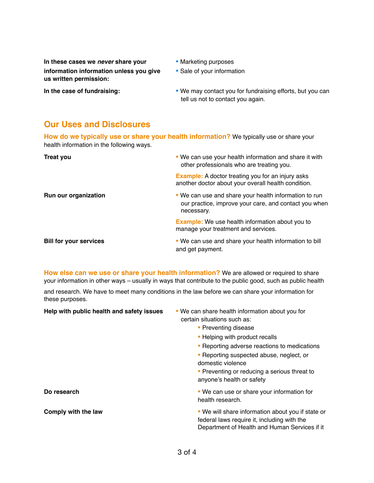**In these cases we** *never* **share your •** Marketing purposes **information information unless you give • Sale of your information us written permission:**

- 
- 

**In the case of fundraising: <b>•** We may contact you for fundraising efforts, but you can tell us not to contact you again.

### **Our Uses and Disclosures**

**How do we typically use or share your health information?** We typically use or share your health information in the following ways.

| <b>Treat you</b>              | . We can use your health information and share it with<br>other professionals who are treating you.                          |
|-------------------------------|------------------------------------------------------------------------------------------------------------------------------|
|                               | <b>Example:</b> A doctor treating you for an injury asks<br>another doctor about your overall health condition.              |
| Run our organization          | . We can use and share your health information to run<br>our practice, improve your care, and contact you when<br>necessary. |
|                               | <b>Example:</b> We use health information about you to<br>manage your treatment and services.                                |
| <b>Bill for your services</b> | . We can use and share your health information to bill<br>and get payment.                                                   |

**How else can we use or share your health information?** We are allowed or required to share your information in other ways – usually in ways that contribute to the public good, such as public health

and research. We have to meet many conditions in the law before we can share your information for these purposes.

| Help with public health and safety issues | . We can share health information about you for<br>certain situations such as:                                                                    |
|-------------------------------------------|---------------------------------------------------------------------------------------------------------------------------------------------------|
|                                           | • Preventing disease                                                                                                                              |
|                                           | • Helping with product recalls                                                                                                                    |
|                                           | • Reporting adverse reactions to medications                                                                                                      |
|                                           | • Reporting suspected abuse, neglect, or<br>domestic violence                                                                                     |
|                                           | • Preventing or reducing a serious threat to<br>anyone's health or safety                                                                         |
| Do research                               | • We can use or share your information for<br>health research.                                                                                    |
| Comply with the law                       | • We will share information about you if state or<br>federal laws require it, including with the<br>Department of Health and Human Services if it |